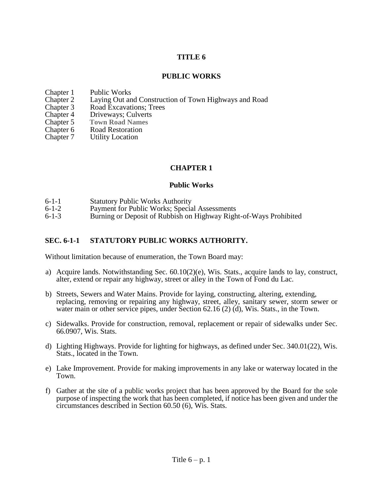### **TITLE 6**

### **PUBLIC WORKS**

- 
- Chapter 1 Public Works<br>Chapter 2 Laying Out an Chapter 2 Laying Out and Construction of Town Highways and Road<br>Chapter 3 Road Excavations: Trees
- 
- Chapter 3 Road Excavations; Trees<br>Chapter 4 Driveways; Culverts Driveways; Culverts
- **Chapter 5 Town Road Names**
- Chapter 6 Road Restoration
- Chapter 7 Utility Location

### **CHAPTER 1**

#### **Public Works**

- 
- 6-1-1 Statutory Public Works Authority<br>6-1-2 Payment for Public Works: Specia 6-1-2 Payment for Public Works; Special Assessments<br>6-1-3 Burning or Deposit of Rubbish on Highway Righ
- Burning or Deposit of Rubbish on Highway Right-of-Ways Prohibited

#### **SEC. 6-1-1 STATUTORY PUBLIC WORKS AUTHORITY.**

Without limitation because of enumeration, the Town Board may:

- a) Acquire lands. Notwithstanding Sec.  $60.10(2)(e)$ , Wis. Stats., acquire lands to lay, construct, alter, extend or repair any highway, street or alley in the Town of Fond du Lac.
- b) Streets, Sewers and Water Mains. Provide for laying, constructing, altering, extending, replacing, removing or repairing any highway, street, alley, sanitary sewer, storm sewer or water main or other service pipes, under Section 62.16 (2) (d), Wis. Stats., in the Town.
- c) Sidewalks. Provide for construction, removal, replacement or repair of sidewalks under Sec. 66.0907, Wis. Stats.
- d) Lighting Highways. Provide for lighting for highways, as defined under Sec. 340.01(22), Wis. Stats., located in the Town.
- e) Lake Improvement. Provide for making improvements in any lake or waterway located in the Town.
- f) Gather at the site of a public works project that has been approved by the Board for the sole purpose of inspecting the work that has been completed, if notice has been given and under the circumstances described in Section 60.50 (6), Wis. Stats.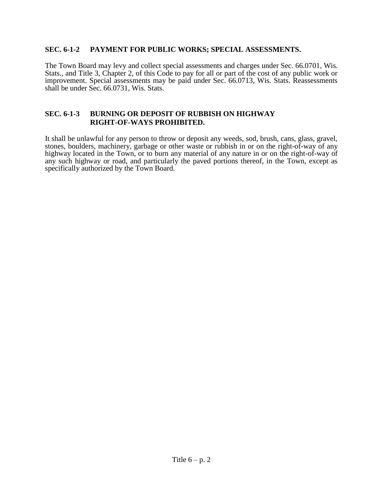#### **SEC. 6-1-2 PAYMENT FOR PUBLIC WORKS; SPECIAL ASSESSMENTS.**

The Town Board may levy and collect special assessments and charges under Sec. 66.0701, Wis. Stats., and Title 3, Chapter 2, of this Code to pay for all or part of the cost of any public work or improvement. Special assessments may be paid under Sec. 66.0713, Wis. Stats. Reassessments shall be under Sec. 66.0731, Wis. Stats.

#### **SEC. 6-1-3 BURNING OR DEPOSIT OF RUBBISH ON HIGHWAY RIGHT-OF-WAYS PROHIBITED.**

It shall be unlawful for any person to throw or deposit any weeds, sod, brush, cans, glass, gravel, stones, boulders, machinery, garbage or other waste or rubbish in or on the right-of-way of any highway located in the Town, or to burn any material of any nature in or on the right-of-way of any such highway or road, and particularly the paved portions thereof, in the Town, except as specifically authorized by the Town Board.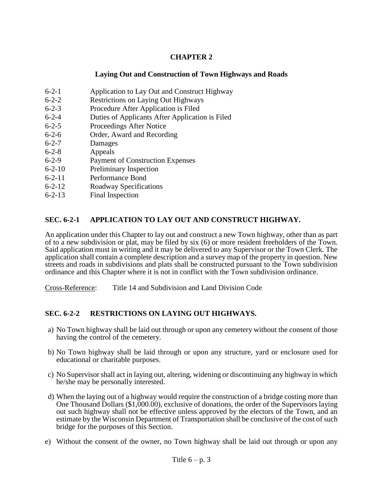### **Laying Out and Construction of Town Highways and Roads**

- 6-2-1 Application to Lay Out and Construct Highway
- 6-2-2 Restrictions on Laying Out Highways
- 6-2-3 Procedure After Application is Filed
- 6-2-4 Duties of Applicants After Application is Filed
- 6-2-5 Proceedings After Notice
- 6-2-6 Order, Award and Recording
- 6-2-7 Damages
- 6-2-8 Appeals
- 6-2-9 Payment of Construction Expenses
- 6-2-10 Preliminary Inspection
- 6-2-11 Performance Bond
- 6-2-12 Roadway Specifications
- 6-2-13 Final Inspection

# **SEC. 6-2-1 APPLICATION TO LAY OUT AND CONSTRUCT HIGHWAY.**

An application under this Chapter to lay out and construct a new Town highway, other than as part of to a new subdivision or plat, may be filed by six (6) or more resident freeholders of the Town. Said application must in writing and it may be delivered to any Supervisor or the Town Clerk. The application shall contain a complete description and a survey map of the property in question. New streets and roads in subdivisions and plats shall be constructed pursuant to the Town subdivision ordinance and this Chapter where it is not in conflict with the Town subdivision ordinance.

Cross-Reference: Title 14 and Subdivision and Land Division Code

# **SEC. 6-2-2 RESTRICTIONS ON LAYING OUT HIGHWAYS.**

- a) No Town highway shall be laid out through or upon any cemetery without the consent of those having the control of the cemetery.
- b) No Town highway shall be laid through or upon any structure, yard or enclosure used for educational or charitable purposes.
- c) No Supervisor shall act in laying out, altering, widening or discontinuing any highway in which he/she may be personally interested.
- d) When the laying out of a highway would require the construction of a bridge costing more than One Thousand Dollars (\$1,000.00), exclusive of donations, the order of the Supervisors laying out such highway shall not be effective unless approved by the electors of the Town, and an estimate by the Wisconsin Department of Transportation shall be conclusive of the cost of such bridge for the purposes of this Section.
- e) Without the consent of the owner, no Town highway shall be laid out through or upon any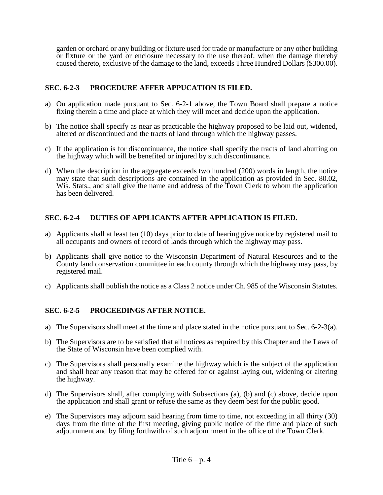garden or orchard or any building or fixture used for trade or manufacture or any other building or fixture or the yard or enclosure necessary to the use thereof, when the damage thereby caused thereto, exclusive of the damage to the land, exceeds Three Hundred Dollars (\$300.00).

# **SEC. 6-2-3 PROCEDURE AFFER APPUCATION IS FILED.**

- a) On application made pursuant to Sec. 6-2-1 above, the Town Board shall prepare a notice fixing therein a time and place at which they will meet and decide upon the application.
- b) The notice shall specify as near as practicable the highway proposed to be laid out, widened, altered or discontinued and the tracts of land through which the highway passes.
- c) If the application is for discontinuance, the notice shall specify the tracts of land abutting on the highway which will be benefited or injured by such discontinuance.
- d) When the description in the aggregate exceeds two hundred (200) words in length, the notice may state that such descriptions are contained in the application as provided in Sec. 80.02, Wis. Stats., and shall give the name and address of the Town Clerk to whom the application has been delivered.

# **SEC. 6-2-4 DUTIES OF APPLICANTS AFTER APPLICATION IS FILED.**

- a) Applicants shall at least ten (10) days prior to date of hearing give notice by registered mail to all occupants and owners of record of lands through which the highway may pass.
- b) Applicants shall give notice to the Wisconsin Department of Natural Resources and to the County land conservation committee in each county through which the highway may pass, by registered mail.
- c) Applicants shall publish the notice as a Class 2 notice under Ch. 985 of the Wisconsin Statutes.

# **SEC. 6-2-5 PROCEEDINGS AFTER NOTICE.**

- a) The Supervisors shall meet at the time and place stated in the notice pursuant to Sec.  $6-2-3(a)$ .
- b) The Supervisors are to be satisfied that all notices as required by this Chapter and the Laws of the State of Wisconsin have been complied with.
- c) The Supervisors shall personally examine the highway which is the subject of the application and shall hear any reason that may be offered for or against laying out, widening or altering the highway.
- d) The Supervisors shall, after complying with Subsections (a), (b) and (c) above, decide upon the application and shall grant or refuse the same as they deem best for the public good.
- e) The Supervisors may adjourn said hearing from time to time, not exceeding in all thirty (30) days from the time of the first meeting, giving public notice of the time and place of such adjournment and by filing forthwith of such adjournment in the office of the Town Clerk.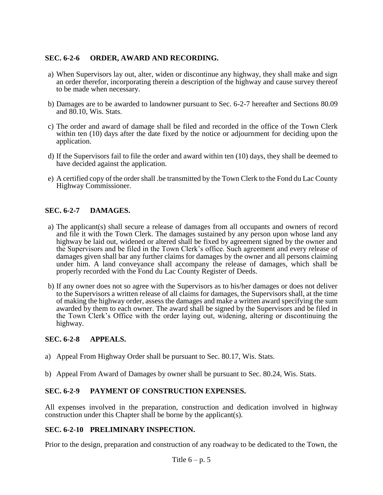### **SEC. 6-2-6 ORDER, AWARD AND RECORDING.**

- a) When Supervisors lay out, alter, widen or discontinue any highway, they shall make and sign an order therefor, incorporating therein a description of the highway and cause survey thereof to be made when necessary.
- b) Damages are to be awarded to landowner pursuant to Sec. 6-2-7 hereafter and Sections 80.09 and 80.10, Wis. Stats.
- c) The order and award of damage shall be filed and recorded in the office of the Town Clerk within ten (10) days after the date fixed by the notice or adjournment for deciding upon the application.
- d) If the Supervisors fail to file the order and award within ten (10) days, they shall be deemed to have decided against the application.
- e) A certified copy of the order shall .be transmitted by the Town Clerk to the Fond du Lac County Highway Commissioner.

# **SEC. 6-2-7 DAMAGES.**

- a) The applicant(s) shall secure a release of damages from all occupants and owners of record and file it with the Town Clerk. The damages sustained by any person upon whose land any highway be laid out, widened or altered shall be fixed by agreement signed by the owner and the Supervisors and be filed in the Town Clerk's office. Such agreement and every release of damages given shall bar any further claims for damages by the owner and all persons claiming under him. A land conveyance shall accompany the release of damages, which shall be properly recorded with the Fond du Lac County Register of Deeds.
- b) If any owner does not so agree with the Supervisors as to his/her damages or does not deliver to the Supervisors a written release of all claims for damages, the Supervisors shall, at the time of making the highway order, assess the damages and make a written award specifying the sum awarded by them to each owner. The award shall be signed by the Supervisors and be filed in the Town Clerk's Office with the order laying out, widening, altering or discontinuing the highway.

### **SEC. 6-2-8 APPEALS.**

- a) Appeal From Highway Order shall be pursuant to Sec. 80.17, Wis. Stats.
- b) Appeal From Award of Damages by owner shall be pursuant to Sec. 80.24, Wis. Stats.

#### **SEC. 6-2-9 PAYMENT OF CONSTRUCTION EXPENSES.**

All expenses involved in the preparation, construction and dedication involved in highway construction under this Chapter shall be borne by the applicant(s).

#### **SEC. 6-2-10 PRELIMINARY INSPECTION.**

Prior to the design, preparation and construction of any roadway to be dedicated to the Town, the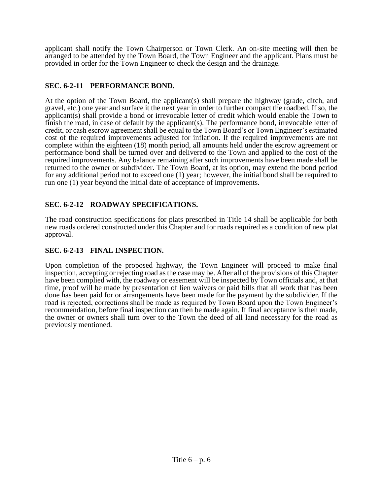applicant shall notify the Town Chairperson or Town Clerk. An on-site meeting will then be arranged to be attended by the Town Board, the Town Engineer and the applicant. Plans must be provided in order for the Town Engineer to check the design and the drainage.

# **SEC. 6-2-11 PERFORMANCE BOND.**

At the option of the Town Board, the applicant(s) shall prepare the highway (grade, ditch, and gravel, etc.) one year and surface it the next year in order to further compact the roadbed. If so, the applicant(s) shall provide a bond or irrevocable letter of credit which would enable the Town to finish the road, in case of default by the applicant(s). The performance bond, irrevocable letter of credit, or cash escrow agreement shall be equal to the Town Board's or Town Engineer's estimated cost of the required improvements adjusted for inflation. If the required improvements are not complete within the eighteen (18) month period, all amounts held under the escrow agreement or performance bond shall be turned over and delivered to the Town and applied to the cost of the required improvements. Any balance remaining after such improvements have been made shall be returned to the owner or subdivider. The Town Board, at its option, may extend the bond period for any additional period not to exceed one (1) year; however, the initial bond shall be required to run one (1) year beyond the initial date of acceptance of improvements.

# **SEC. 6-2-12 ROADWAY SPECIFICATIONS.**

The road construction specifications for plats prescribed in Title 14 shall be applicable for both new roads ordered constructed under this Chapter and for roads required as a condition of new plat approval.

### **SEC. 6-2-13 FINAL INSPECTION.**

Upon completion of the proposed highway, the Town Engineer will proceed to make final inspection, accepting or rejecting road as the case may be. After all of the provisions of this Chapter have been complied with, the roadway or easement will be inspected by Town officials and, at that time, proof will be made by presentation of lien waivers or paid bills that all work that has been done has been paid for or arrangements have been made for the payment by the subdivider. If the road is rejected, corrections shall be made as required by Town Board upon the Town Engineer's recommendation, before final inspection can then be made again. If final acceptance is then made, the owner or owners shall turn over to the Town the deed of all land necessary for the road as previously mentioned.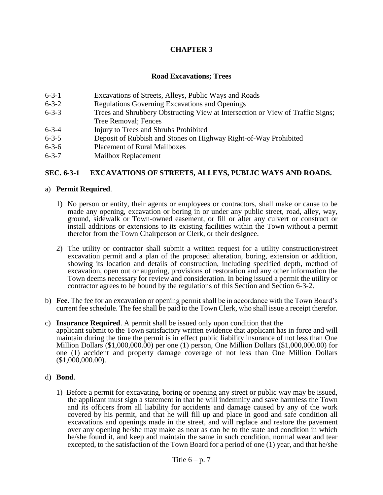#### **Road Excavations; Trees**

- 6-3-1 Excavations of Streets, Alleys, Public Ways and Roads
- 6-3-2 Regulations Governing Excavations and Openings
- 6-3-3 Trees and Shrubbery Obstructing View at Intersection or View of Traffic Signs; Tree Removal; Fences
- 6-3-4 Injury to Trees and Shrubs Prohibited
- 6-3-5 Deposit of Rubbish and Stones on Highway Right-of-Way Prohibited
- 6-3-6 Placement of Rural Mailboxes
- 6-3-7 Mailbox Replacement

#### **SEC. 6-3-1 EXCAVATIONS OF STREETS, ALLEYS, PUBLIC WAYS AND ROADS.**

#### a) **Permit Required**.

- 1) No person or entity, their agents or employees or contractors, shall make or cause to be made any opening, excavation or boring in or under any public street, road, alley, way, ground, sidewalk or Town-owned easement, or fill or alter any culvert or construct or install additions or extensions to its existing facilities within the Town without a permit therefor from the Town Chairperson or Clerk, or their designee.
- 2) The utility or contractor shall submit a written request for a utility construction/street excavation permit and a plan of the proposed alteration, boring, extension or addition, showing its location and details of construction, including specified depth, method of excavation, open out or auguring, provisions of restoration and any other information the Town deems necessary for review and consideration. In being issued a permit the utility or contractor agrees to be bound by the regulations of this Section and Section 6-3-2.
- b) **Fee**. The fee for an excavation or opening permit shall be in accordance with the Town Board's current fee schedule. The fee shall be paid to the Town Clerk, who shall issue a receipt therefor.

#### c) **Insurance Required**. A permit shall be issued only upon condition that the

applicant submit to the Town satisfactory written evidence that applicant has in force and will maintain during the time the permit is in effect public liability insurance of not less than One Million Dollars (\$1,000,000.00) per one (1) person, One Million Dollars (\$1,000,000.00) for one (1) accident and property damage coverage of not less than One Million Dollars (\$1,000,000.00).

#### d) **Bond**.

1) Before a permit for excavating, boring or opening any street or public way may be issued, the applicant must sign a statement in that he will indemnify and save harmless the Town and its officers from all liability for accidents and damage caused by any of the work covered by his permit, and that he will fill up and place in good and safe condition all excavations and openings made in the street, and will replace and restore the pavement over any opening he/she may make as near as can be to the state and condition in which he/she found it, and keep and maintain the same in such condition, normal wear and tear excepted, to the satisfaction of the Town Board for a period of one (1) year, and that he/she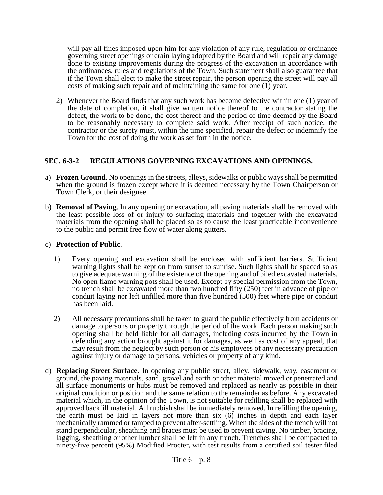will pay all fines imposed upon him for any violation of any rule, regulation or ordinance governing street openings or drain laying adopted by the Board and will repair any damage done to existing improvements during the progress of the excavation in accordance with the ordinances, rules and regulations of the Town. Such statement shall also guarantee that if the Town shall elect to make the street repair, the person opening the street will pay all costs of making such repair and of maintaining the same for one (1) year.

2) Whenever the Board finds that any such work has become defective within one (1) year of the date of completion, it shall give written notice thereof to the contractor stating the defect, the work to be done, the cost thereof and the period of time deemed by the Board to be reasonably necessary to complete said work. After receipt of such notice, the contractor or the surety must, within the time specified, repair the defect or indemnify the Town for the cost of doing the work as set forth in the notice.

#### **SEC. 6-3-2 REGULATIONS GOVERNING EXCAVATIONS AND OPENINGS.**

- a) **Frozen Ground**. No openings in the streets, alleys, sidewalks or public ways shall be permitted when the ground is frozen except where it is deemed necessary by the Town Chairperson or Town Clerk, or their designee.
- b) **Removal of Paving**. In any opening or excavation, all paving materials shall be removed with the least possible loss of or injury to surfacing materials and together with the excavated materials from the opening shall be placed so as to cause the least practicable inconvenience to the public and permit free flow of water along gutters.

#### c) **Protection of Public**.

- 1) Every opening and excavation shall be enclosed with sufficient barriers. Sufficient warning lights shall be kept on from sunset to sunrise. Such lights shall be spaced so as to give adequate warning of the existence of the opening and of piled excavated materials. No open flame warning pots shall be used. Except by special permission from the Town, no trench shall be excavated more than two hundred fifty (250) feet in advance of pipe or conduit laying nor left unfilled more than five hundred (500) feet where pipe or conduit has been laid.
- 2) All necessary precautions shall be taken to guard the public effectively from accidents or damage to persons or property through the period of the work. Each person making such opening shall be held liable for all damages, including costs incurred by the Town in defending any action brought against it for damages, as well as cost of any appeal, that may result from the neglect by such person or his employees of any necessary precaution against injury or damage to persons, vehicles or property of any kind.
- d) **Replacing Street Surface**. In opening any public street, alley, sidewalk, way, easement or ground, the paving materials, sand, gravel and earth or other material moved or penetrated and all surface monuments or hubs must be removed and replaced as nearly as possible in their original condition or position and the same relation to the remainder as before. Any excavated material which, in the opinion of the Town, is not suitable for refilling shall be replaced with approved backfill material. All rubbish shall be immediately removed. In refilling the opening, the earth must be laid in layers not more than six (6) inches in depth and each layer mechanically rammed or tamped to prevent after-settling. When the sides of the trench will not stand perpendicular, sheathing and braces must be used to prevent caving. No timber, bracing, lagging, sheathing or other lumber shall be left in any trench. Trenches shall be compacted to ninety-five percent (95%) Modified Procter, with test results from a certified soil tester filed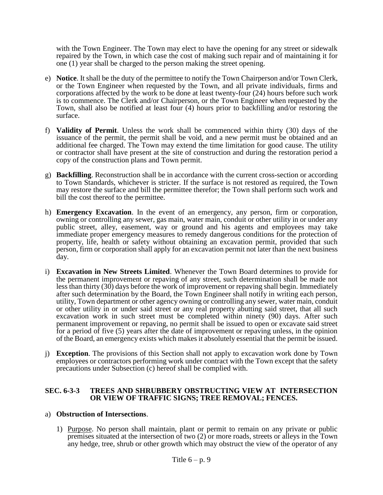with the Town Engineer. The Town may elect to have the opening for any street or sidewalk repaired by the Town, in which case the cost of making such repair and of maintaining it for one (1) year shall be charged to the person making the street opening.

- e) **Notice**. It shall be the duty of the permittee to notify the Town Chairperson and/or Town Clerk, or the Town Engineer when requested by the Town, and all private individuals, firms and corporations affected by the work to be done at least twenty-four (24) hours before such work is to commence. The Clerk and/or Chairperson, or the Town Engineer when requested by the Town, shall also be notified at least four (4) hours prior to backfilling and/or restoring the surface.
- f) **Validity of Permit**. Unless the work shall be commenced within thirty (30) days of the issuance of the permit, the permit shall be void, and a new permit must be obtained and an additional fee charged. The Town may extend the time limitation for good cause. The utility or contractor shall have present at the site of construction and during the restoration period a copy of the construction plans and Town permit.
- g) **Backfilling**. Reconstruction shall be in accordance with the current cross-section or according to Town Standards, whichever is stricter. If the surface is not restored as required, the Town may restore the surface and bill the permittee therefor; the Town shall perform such work and bill the cost thereof to the permittee.
- h) **Emergency Excavation**. In the event of an emergency, any person, firm or corporation, owning or controlling any sewer, gas main, water main, conduit or other utility in or under any public street, alley, easement, way or ground and his agents and employees may take immediate proper emergency measures to remedy dangerous conditions for the protection of property, life, health or safety without obtaining an excavation permit, provided that such person, firm or corporation shall apply for an excavation permit not later than the next business day.
- i) **Excavation in New Streets Limited**. Whenever the Town Board determines to provide for the permanent improvement or repaving of any street, such determination shall be made not less than thirty (30) days before the work of improvement or repaving shall begin. Immediately after such determination by the Board, the Town Engineer shall notify in writing each person, utility, Town department or other agency owning or controlling any sewer, water main, conduit or other utility in or under said street or any real property abutting said street, that all such excavation work in such street must be completed within ninety (90) days. After such permanent improvement or repaving, no permit shall be issued to open or excavate said street for a period of five (5) years after the date of improvement or repaving unless, in the opinion of the Board, an emergency exists which makes it absolutely essential that the permit be issued.
- j) **Exception**. The provisions of this Section shall not apply to excavation work done by Town employees or contractors performing work under contract with the Town except that the safety precautions under Subsection (c) hereof shall be complied with.

#### **SEC. 6-3-3 TREES AND SHRUBBERY OBSTRUCTING VIEW AT INTERSECTION OR VIEW OF TRAFFIC SIGNS; TREE REMOVAL; FENCES.**

#### a) **Obstruction of Intersections**.

1) Purpose. No person shall maintain, plant or permit to remain on any private or public premises situated at the intersection of two (2) or more roads, streets or alleys in the Town any hedge, tree, shrub or other growth which may obstruct the view of the operator of any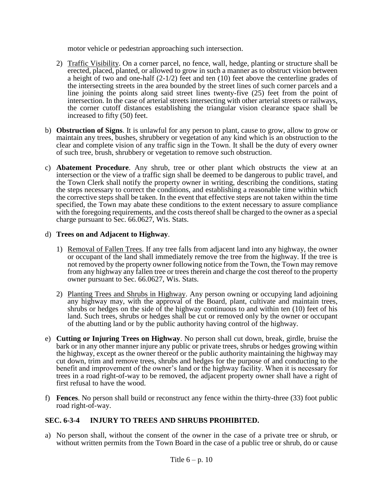motor vehicle or pedestrian approaching such intersection.

- 2) Traffic Visibility. On a corner parcel, no fence, wall, hedge, planting or structure shall be erected, placed, planted, or allowed to grow in such a manner as to obstruct vision between a height of two and one-half (2-1/2) feet and ten (10) feet above the centerline grades of the intersecting streets in the area bounded by the street lines of such corner parcels and a line joining the points along said street lines twenty-five (25) feet from the point of intersection. In the case of arterial streets intersecting with other arterial streets or railways, the corner cutoff distances establishing the triangular vision clearance space shall be increased to fifty (50) feet.
- b) **Obstruction of Signs**. It is unlawful for any person to plant, cause to grow, allow to grow or maintain any trees, bushes, shrubbery or vegetation of any kind which is an obstruction to the clear and complete vision of any traffic sign in the Town. It shall be the duty of every owner of such tree, brush, shrubbery or vegetation to remove such obstruction.
- c) **Abatement Procedure**. Any shrub, tree or other plant which obstructs the view at an intersection or the view of a traffic sign shall be deemed to be dangerous to public travel, and the Town Clerk shall notify the property owner in writing, describing the conditions, stating the steps necessary to correct the conditions, and establishing a reasonable time within which the corrective steps shall be taken. In the event that effective steps are not taken within the time specified, the Town may abate these conditions to the extent necessary to assure compliance with the foregoing requirements, and the costs thereof shall be charged to the owner as a special charge pursuant to Sec. 66.0627, Wis. Stats.

#### d) **Trees on and Adjacent to Highway**.

- 1) Removal of Fallen Trees. If any tree falls from adjacent land into any highway, the owner or occupant of the land shall immediately remove the tree from the highway. If the tree is not removed by the property owner following notice from the Town, the Town may remove from any highway any fallen tree or trees therein and charge the cost thereof to the property owner pursuant to Sec. 66.0627, Wis. Stats.
- 2) Planting Trees and Shrubs in Highway. Any person owning or occupying land adjoining any highway may, with the approval of the Board, plant, cultivate and maintain trees, shrubs or hedges on the side of the highway continuous to and within ten (10) feet of his land. Such trees, shrubs or hedges shall be cut or removed only by the owner or occupant of the abutting land or by the public authority having control of the highway.
- e) **Cutting or Injuring Trees on Highway**. No person shall cut down, break, girdle, bruise the bark or in any other manner injure any public or private trees, shrubs or hedges growing within the highway, except as the owner thereof or the public authority maintaining the highway may cut down, trim and remove trees, shrubs and hedges for the purpose of and conducting to the benefit and improvement of the owner's land or the highway facility. When it is necessary for trees in a road right-of-way to be removed, the adjacent property owner shall have a right of first refusal to have the wood.
- f) **Fences**. No person shall build or reconstruct any fence within the thirty-three (33) foot public road right-of-way.

### **SEC. 6-3-4 INJURY TO TREES AND SHRUBS PROHIBITED.**

a) No person shall, without the consent of the owner in the case of a private tree or shrub, or without written permits from the Town Board in the case of a public tree or shrub, do or cause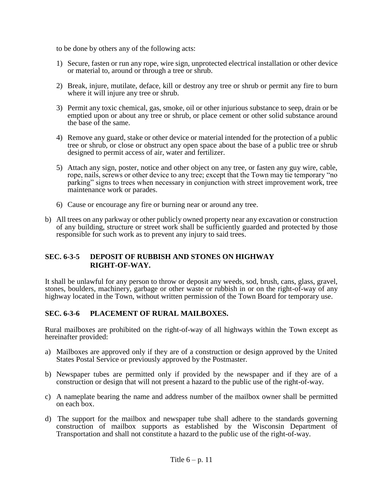to be done by others any of the following acts:

- 1) Secure, fasten or run any rope, wire sign, unprotected electrical installation or other device or material to, around or through a tree or shrub.
- 2) Break, injure, mutilate, deface, kill or destroy any tree or shrub or permit any fire to burn where it will injure any tree or shrub.
- 3) Permit any toxic chemical, gas, smoke, oil or other injurious substance to seep, drain or be emptied upon or about any tree or shrub, or place cement or other solid substance around the base of the same.
- 4) Remove any guard, stake or other device or material intended for the protection of a public tree or shrub, or close or obstruct any open space about the base of a public tree or shrub designed to permit access of air, water and fertilizer.
- 5) Attach any sign, poster, notice and other object on any tree, or fasten any guy wire, cable, rope, nails, screws or other device to any tree; except that the Town may tie temporary "no parking" signs to trees when necessary in conjunction with street improvement work, tree maintenance work or parades.
- 6) Cause or encourage any fire or burning near or around any tree.
- b) All trees on any parkway or other publicly owned property near any excavation or construction of any building, structure or street work shall be sufficiently guarded and protected by those responsible for such work as to prevent any injury to said trees.

#### **SEC. 6-3-5 DEPOSIT OF RUBBISH AND STONES ON HIGHWAY RIGHT-OF-WAY.**

It shall be unlawful for any person to throw or deposit any weeds, sod, brush, cans, glass, gravel, stones, boulders, machinery, garbage or other waste or rubbish in or on the right-of-way of any highway located in the Town, without written permission of the Town Board for temporary use.

### **SEC. 6-3-6 PLACEMENT OF RURAL MAILBOXES.**

Rural mailboxes are prohibited on the right-of-way of all highways within the Town except as hereinafter provided:

- a) Mailboxes are approved only if they are of a construction or design approved by the United States Postal Service or previously approved by the Postmaster.
- b) Newspaper tubes are permitted only if provided by the newspaper and if they are of a construction or design that will not present a hazard to the public use of the right-of-way.
- c) A nameplate bearing the name and address number of the mailbox owner shall be permitted on each box.
- d) The support for the mailbox and newspaper tube shall adhere to the standards governing construction of mailbox supports as established by the Wisconsin Department of Transportation and shall not constitute a hazard to the public use of the right-of-way.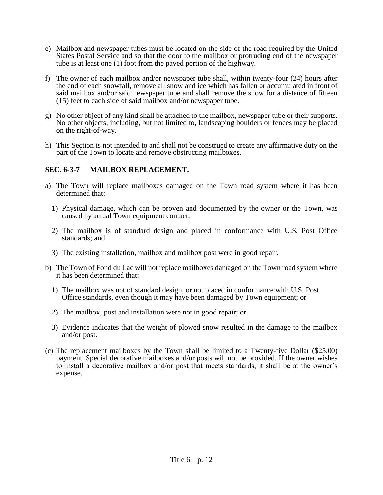- e) Mailbox and newspaper tubes must be located on the side of the road required by the United States Postal Service and so that the door to the mailbox or protruding end of the newspaper tube is at least one (1) foot from the paved portion of the highway.
- f) The owner of each mailbox and/or newspaper tube shall, within twenty-four (24) hours after the end of each snowfall, remove all snow and ice which has fallen or accumulated in front of said mailbox and/or said newspaper tube and shall remove the snow for a distance of fifteen (15) feet to each side of said mailbox and/or newspaper tube.
- g) No other object of any kind shall be attached to the mailbox, newspaper tube or their supports. No other objects, including, but not limited to, landscaping boulders or fences may be placed on the right-of-way.
- h) This Section is not intended to and shall not be construed to create any affirmative duty on the part of the Town to locate and remove obstructing mailboxes.

#### **SEC. 6-3-7 MAILBOX REPLACEMENT.**

- a) The Town will replace mailboxes damaged on the Town road system where it has been determined that:
	- 1) Physical damage, which can be proven and documented by the owner or the Town, was caused by actual Town equipment contact;
	- 2) The mailbox is of standard design and placed in conformance with U.S. Post Office standards; and
	- 3) The existing installation, mailbox and mailbox post were in good repair.
- b) The Town of Fond du Lac will not replace mailboxes damaged on the Town road system where it has been determined that:
	- 1) The mailbox was not of standard design, or not placed in conformance with U.S. Post Office standards, even though it may have been damaged by Town equipment; or
	- 2) The mailbox, post and installation were not in good repair; or
	- 3) Evidence indicates that the weight of plowed snow resulted in the damage to the mailbox and/or post.
- (c) The replacement mailboxes by the Town shall be limited to a Twenty-five Dollar (\$25.00) payment. Special decorative mailboxes and/or posts will not be provided. If the owner wishes to install a decorative mailbox and/or post that meets standards, it shall be at the owner's expense.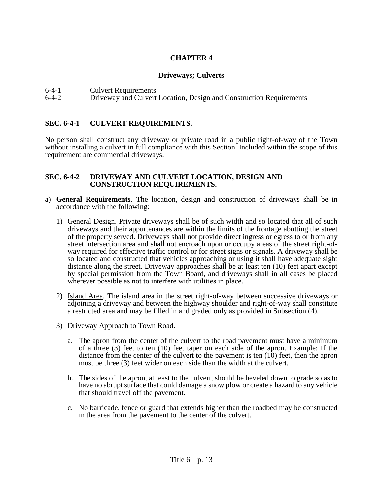### **Driveways; Culverts**

6-4-1 Culvert Requirements<br>6-4-2 Driveway and Culvert

6-4-2 Driveway and Culvert Location, Design and Construction Requirements

### **SEC. 6-4-1 CULVERT REQUIREMENTS.**

No person shall construct any driveway or private road in a public right-of-way of the Town without installing a culvert in full compliance with this Section. Included within the scope of this requirement are commercial driveways.

#### **SEC. 6-4-2 DRIVEWAY AND CULVERT LOCATION, DESIGN AND CONSTRUCTION REQUIREMENTS.**

- a) **General Requirements**. The location, design and construction of driveways shall be in accordance with the following:
	- 1) General Design. Private driveways shall be of such width and so located that all of such driveways and their appurtenances are within the limits of the frontage abutting the street of the property served. Driveways shall not provide direct ingress or egress to or from any street intersection area and shall not encroach upon or occupy areas of the street right-ofway required for effective traffic control or for street signs or signals. A driveway shall be so located and constructed that vehicles approaching or using it shall have adequate sight distance along the street. Driveway approaches shall be at least ten (10) feet apart except by special permission from the Town Board, and driveways shall in all cases be placed wherever possible as not to interfere with utilities in place.
	- 2) Island Area. The island area in the street right-of-way between successive driveways or adjoining a driveway and between the highway shoulder and right-of-way shall constitute a restricted area and may be filled in and graded only as provided in Subsection (4).
	- 3) Driveway Approach to Town Road.
		- a. The apron from the center of the culvert to the road pavement must have a minimum of a three (3) feet to ten (10) feet taper on each side of the apron. Example: If the distance from the center of the culvert to the pavement is ten  $(10)$  feet, then the apron must be three (3) feet wider on each side than the width at the culvert.
		- b. The sides of the apron, at least to the culvert, should be beveled down to grade so as to have no abrupt surface that could damage a snow plow or create a hazard to any vehicle that should travel off the pavement.
		- c. No barricade, fence or guard that extends higher than the roadbed may be constructed in the area from the pavement to the center of the culvert.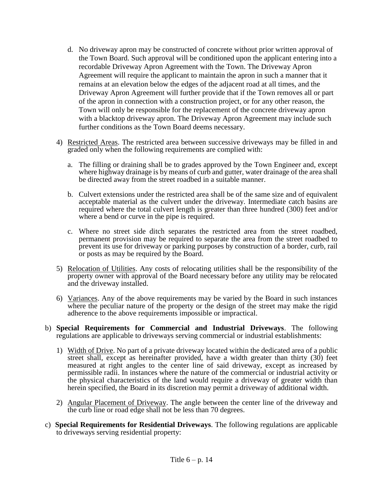- d. No driveway apron may be constructed of concrete without prior written approval of the Town Board. Such approval will be conditioned upon the applicant entering into a recordable Driveway Apron Agreement with the Town. The Driveway Apron Agreement will require the applicant to maintain the apron in such a manner that it remains at an elevation below the edges of the adjacent road at all times, and the Driveway Apron Agreement will further provide that if the Town removes all or part of the apron in connection with a construction project, or for any other reason, the Town will only be responsible for the replacement of the concrete driveway apron with a blacktop driveway apron. The Driveway Apron Agreement may include such further conditions as the Town Board deems necessary.
- 4) Restricted Areas. The restricted area between successive driveways may be filled in and graded only when the following requirements are complied with:
	- a. The filling or draining shall be to grades approved by the Town Engineer and, except where highway drainage is by means of curb and gutter, water drainage of the area shall be directed away from the street roadbed in a suitable manner.
	- b. Culvert extensions under the restricted area shall be of the same size and of equivalent acceptable material as the culvert under the driveway. Intermediate catch basins are required where the total culvert length is greater than three hundred (300) feet and/or where a bend or curve in the pipe is required.
	- c. Where no street side ditch separates the restricted area from the street roadbed, permanent provision may be required to separate the area from the street roadbed to prevent its use for driveway or parking purposes by construction of a border, curb, rail or posts as may be required by the Board.
- 5) Relocation of Utilities. Any costs of relocating utilities shall be the responsibility of the property owner with approval of the Board necessary before any utility may be relocated and the driveway installed.
- 6) Variances. Any of the above requirements may be varied by the Board in such instances where the peculiar nature of the property or the design of the street may make the rigid adherence to the above requirements impossible or impractical.
- b) **Special Requirements for Commercial and Industrial Driveways**. The following regulations are applicable to driveways serving commercial or industrial establishments:
	- 1) Width of Drive. No part of a private driveway located within the dedicated area of a public street shall, except as hereinafter provided, have a width greater than thirty (30) feet measured at right angles to the center line of said driveway, except as increased by permissible radii. In instances where the nature of the commercial or industrial activity or the physical characteristics of the land would require a driveway of greater width than herein specified, the Board in its discretion may permit a driveway of additional width.
	- 2) Angular Placement of Driveway. The angle between the center line of the driveway and the curb line or road edge shall not be less than 70 degrees.
- c) **Special Requirements for Residential Driveways**. The following regulations are applicable to driveways serving residential property: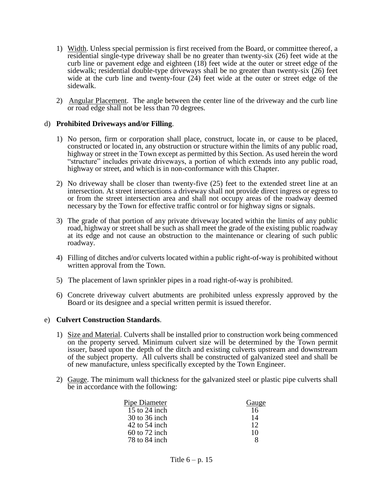- 1) Width. Unless special permission is first received from the Board, or committee thereof, a residential single-type driveway shall be no greater than twenty-six (26) feet wide at the curb line or pavement edge and eighteen (18) feet wide at the outer or street edge of the sidewalk; residential double-type driveways shall be no greater than twenty-six (26) feet wide at the curb line and twenty-four (24) feet wide at the outer or street edge of the sidewalk.
- 2) Angular Placement. The angle between the center line of the driveway and the curb line or road edge shall not be less than 70 degrees.

#### d) **Prohibited Driveways and/or Filling**.

- 1) No person, firm or corporation shall place, construct, locate in, or cause to be placed, constructed or located in, any obstruction or structure within the limits of any public road, highway or street in the Town except as permitted by this Section. As used herein the word "structure" includes private driveways, a portion of which extends into any public road, highway or street, and which is in non-conformance with this Chapter.
- 2) No driveway shall be closer than twenty-five (25) feet to the extended street line at an intersection. At street intersections a driveway shall not provide direct ingress or egress to or from the street intersection area and shall not occupy areas of the roadway deemed necessary by the Town for effective traffic control or for highway signs or signals.
- 3) The grade of that portion of any private driveway located within the limits of any public road, highway or street shall be such as shall meet the grade of the existing public roadway at its edge and not cause an obstruction to the maintenance or clearing of such public roadway.
- 4) Filling of ditches and/or culverts located within a public right-of-way is prohibited without written approval from the Town.
- 5) The placement of lawn sprinkler pipes in a road right-of-way is prohibited.
- 6) Concrete driveway culvert abutments are prohibited unless expressly approved by the Board or its designee and a special written permit is issued therefor.

#### e) **Culvert Construction Standards**.

- 1) Size and Material. Culverts shall be installed prior to construction work being commenced on the property served. Minimum culvert size will be determined by the Town permit issuer, based upon the depth of the ditch and existing culverts upstream and downstream of the subject property. All culverts shall be constructed of galvanized steel and shall be of new manufacture, unless specifically excepted by the Town Engineer.
- 2) Gauge. The minimum wall thickness for the galvanized steel or plastic pipe culverts shall be in accordance with the following:

| Pipe Diameter   | Gauge |
|-----------------|-------|
| 15 to 24 inch   | 16    |
| 30 to 36 inch   | 14    |
| $42$ to 54 inch | 12    |
| $60$ to 72 inch | 10    |
| 78 to 84 inch   |       |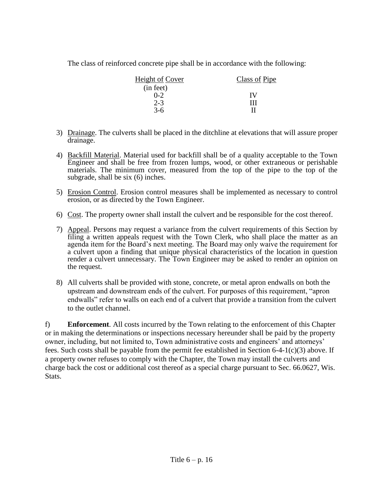The class of reinforced concrete pipe shall be in accordance with the following:

| Height of Cover | Class of Pipe |
|-----------------|---------------|
| (in feet)       |               |
| $0 - 2$         | IV            |
| $2 - 3$         | ш             |
| $3-6$           | н             |

- 3) Drainage. The culverts shall be placed in the ditchline at elevations that will assure proper drainage.
- 4) Backfill Material. Material used for backfill shall be of a quality acceptable to the Town Engineer and shall be free from frozen lumps, wood, or other extraneous or perishable materials. The minimum cover, measured from the top of the pipe to the top of the subgrade, shall be six (6) inches.
- 5) Erosion Control. Erosion control measures shall be implemented as necessary to control erosion, or as directed by the Town Engineer.
- 6) Cost. The property owner shall install the culvert and be responsible for the cost thereof.
- 7) Appeal. Persons may request a variance from the culvert requirements of this Section by filing a written appeals request with the Town Clerk, who shall place the matter as an agenda item for the Board's next meeting. The Board may only waive the requirement for a culvert upon a finding that unique physical characteristics of the location in question render a culvert unnecessary. The Town Engineer may be asked to render an opinion on the request.
- 8) All culverts shall be provided with stone, concrete, or metal apron endwalls on both the upstream and downstream ends of the culvert. For purposes of this requirement, "apron endwalls" refer to walls on each end of a culvert that provide a transition from the culvert to the outlet channel.

f) **Enforcement**. All costs incurred by the Town relating to the enforcement of this Chapter or in making the determinations or inspections necessary hereunder shall be paid by the property owner, including, but not limited to, Town administrative costs and engineers' and attorneys' fees. Such costs shall be payable from the permit fee established in Section 6-4-1(c)(3) above. If a property owner refuses to comply with the Chapter, the Town may install the culverts and charge back the cost or additional cost thereof as a special charge pursuant to Sec. 66.0627, Wis. Stats.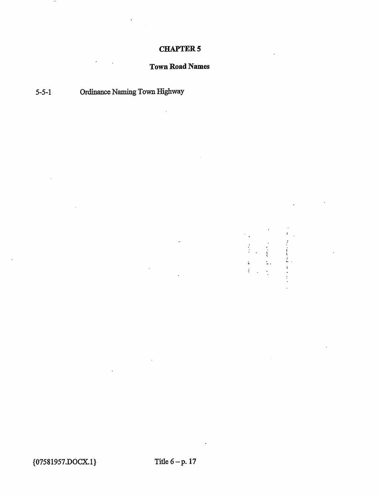# Town Road Names

 $\ddot{\phantom{a}}$ 

 $\frac{1}{2}$  $\frac{1}{4}$   $\pmb{i}$ 

医皮肤萎缩 医血压

# 5-5-1 Ordinance Naming Town Highway

 $\overline{\phantom{a}}$ 

{07581957.DOCX.1} Title 6-p. 17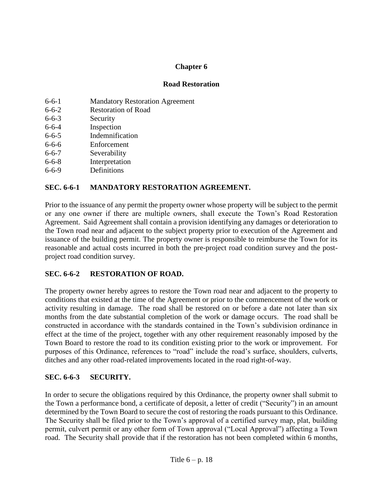# **Chapter 6**

### **Road Restoration**

| $6 - 6 - 1$ | <b>Mandatory Restoration Agreement</b> |
|-------------|----------------------------------------|
| $6 - 6 - 2$ | <b>Restoration of Road</b>             |
| $6 - 6 - 3$ | Security                               |
| $6 - 6 - 4$ | Inspection                             |
| $6 - 6 - 5$ | Indemnification                        |
| $6 - 6 - 6$ | Enforcement                            |
| $6 - 6 - 7$ | Severability                           |
| $6 - 6 - 8$ | Interpretation                         |
| $6 - 6 - 9$ | Definitions                            |
|             |                                        |

# **SEC. 6-6-1 MANDATORY RESTORATION AGREEMENT.**

Prior to the issuance of any permit the property owner whose property will be subject to the permit or any one owner if there are multiple owners, shall execute the Town's Road Restoration Agreement. Said Agreement shall contain a provision identifying any damages or deterioration to the Town road near and adjacent to the subject property prior to execution of the Agreement and issuance of the building permit. The property owner is responsible to reimburse the Town for its reasonable and actual costs incurred in both the pre-project road condition survey and the postproject road condition survey.

### **SEC. 6-6-2 RESTORATION OF ROAD.**

The property owner hereby agrees to restore the Town road near and adjacent to the property to conditions that existed at the time of the Agreement or prior to the commencement of the work or activity resulting in damage. The road shall be restored on or before a date not later than six months from the date substantial completion of the work or damage occurs. The road shall be constructed in accordance with the standards contained in the Town's subdivision ordinance in effect at the time of the project, together with any other requirement reasonably imposed by the Town Board to restore the road to its condition existing prior to the work or improvement. For purposes of this Ordinance, references to "road" include the road's surface, shoulders, culverts, ditches and any other road-related improvements located in the road right-of-way.

### **SEC. 6-6-3 SECURITY.**

In order to secure the obligations required by this Ordinance, the property owner shall submit to the Town a performance bond, a certificate of deposit, a letter of credit ("Security") in an amount determined by the Town Board to secure the cost of restoring the roads pursuant to this Ordinance. The Security shall be filed prior to the Town's approval of a certified survey map, plat, building permit, culvert permit or any other form of Town approval ("Local Approval") affecting a Town road. The Security shall provide that if the restoration has not been completed within 6 months,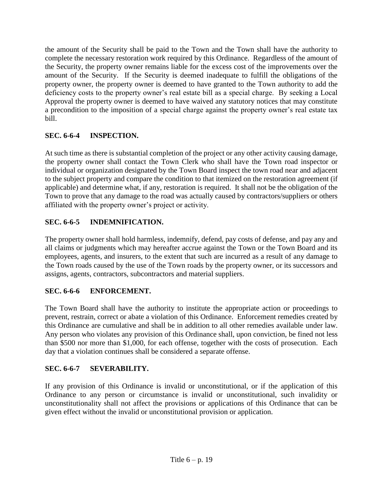the amount of the Security shall be paid to the Town and the Town shall have the authority to complete the necessary restoration work required by this Ordinance. Regardless of the amount of the Security, the property owner remains liable for the excess cost of the improvements over the amount of the Security. If the Security is deemed inadequate to fulfill the obligations of the property owner, the property owner is deemed to have granted to the Town authority to add the deficiency costs to the property owner's real estate bill as a special charge. By seeking a Local Approval the property owner is deemed to have waived any statutory notices that may constitute a precondition to the imposition of a special charge against the property owner's real estate tax bill.

# **SEC. 6-6-4 INSPECTION.**

At such time as there is substantial completion of the project or any other activity causing damage, the property owner shall contact the Town Clerk who shall have the Town road inspector or individual or organization designated by the Town Board inspect the town road near and adjacent to the subject property and compare the condition to that itemized on the restoration agreement (if applicable) and determine what, if any, restoration is required. It shall not be the obligation of the Town to prove that any damage to the road was actually caused by contractors/suppliers or others affiliated with the property owner's project or activity.

# **SEC. 6-6-5 INDEMNIFICATION.**

The property owner shall hold harmless, indemnify, defend, pay costs of defense, and pay any and all claims or judgments which may hereafter accrue against the Town or the Town Board and its employees, agents, and insurers, to the extent that such are incurred as a result of any damage to the Town roads caused by the use of the Town roads by the property owner, or its successors and assigns, agents, contractors, subcontractors and material suppliers.

# **SEC. 6-6-6 ENFORCEMENT.**

The Town Board shall have the authority to institute the appropriate action or proceedings to prevent, restrain, correct or abate a violation of this Ordinance. Enforcement remedies created by this Ordinance are cumulative and shall be in addition to all other remedies available under law. Any person who violates any provision of this Ordinance shall, upon conviction, be fined not less than \$500 nor more than \$1,000, for each offense, together with the costs of prosecution. Each day that a violation continues shall be considered a separate offense.

# **SEC. 6-6-7 SEVERABILITY.**

If any provision of this Ordinance is invalid or unconstitutional, or if the application of this Ordinance to any person or circumstance is invalid or unconstitutional, such invalidity or unconstitutionality shall not affect the provisions or applications of this Ordinance that can be given effect without the invalid or unconstitutional provision or application.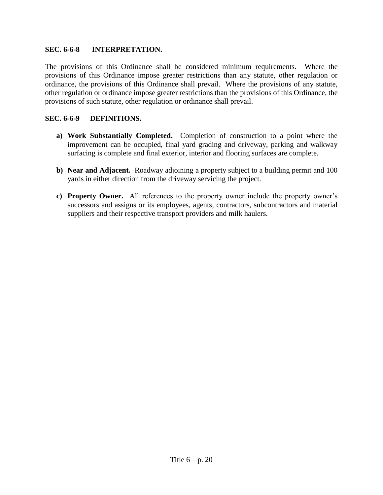### **SEC. 6-6-8 INTERPRETATION.**

The provisions of this Ordinance shall be considered minimum requirements. Where the provisions of this Ordinance impose greater restrictions than any statute, other regulation or ordinance, the provisions of this Ordinance shall prevail. Where the provisions of any statute, other regulation or ordinance impose greater restrictions than the provisions of this Ordinance, the provisions of such statute, other regulation or ordinance shall prevail.

# **SEC. 6-6-9 DEFINITIONS.**

- **a) Work Substantially Completed.** Completion of construction to a point where the improvement can be occupied, final yard grading and driveway, parking and walkway surfacing is complete and final exterior, interior and flooring surfaces are complete.
- **b) Near and Adjacent.** Roadway adjoining a property subject to a building permit and 100 yards in either direction from the driveway servicing the project.
- **c) Property Owner.** All references to the property owner include the property owner's successors and assigns or its employees, agents, contractors, subcontractors and material suppliers and their respective transport providers and milk haulers.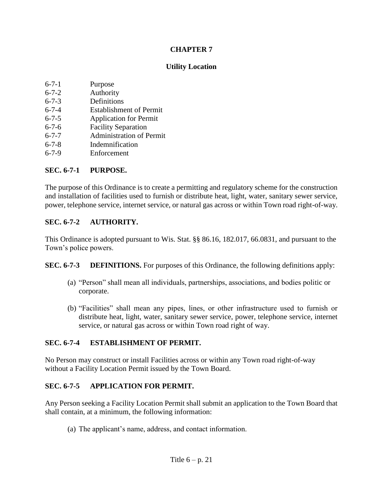### **Utility Location**

| $6 - 7 - 1$ | Purpose |
|-------------|---------|
|             |         |

- 6-7-2 Authority
- 6-7-3 Definitions
- 6-7-4 Establishment of Permit
- 6-7-5 Application for Permit
- 6-7-6 Facility Separation
- 6-7-7 Administration of Permit
- 6-7-8 Indemnification
- 6-7-9 Enforcement

# **SEC. 6-7-1 PURPOSE.**

The purpose of this Ordinance is to create a permitting and regulatory scheme for the construction and installation of facilities used to furnish or distribute heat, light, water, sanitary sewer service, power, telephone service, internet service, or natural gas across or within Town road right-of-way.

# **SEC. 6-7-2 AUTHORITY.**

This Ordinance is adopted pursuant to Wis. Stat. §§ 86.16, 182.017, 66.0831, and pursuant to the Town's police powers.

**SEC. 6-7-3 DEFINITIONS.** For purposes of this Ordinance, the following definitions apply:

- (a) "Person" shall mean all individuals, partnerships, associations, and bodies politic or corporate.
- (b) "Facilities" shall mean any pipes, lines, or other infrastructure used to furnish or distribute heat, light, water, sanitary sewer service, power, telephone service, internet service, or natural gas across or within Town road right of way.

# **SEC. 6-7-4 ESTABLISHMENT OF PERMIT.**

No Person may construct or install Facilities across or within any Town road right-of-way without a Facility Location Permit issued by the Town Board.

# **SEC. 6-7-5 APPLICATION FOR PERMIT.**

Any Person seeking a Facility Location Permit shall submit an application to the Town Board that shall contain, at a minimum, the following information:

(a) The applicant's name, address, and contact information.